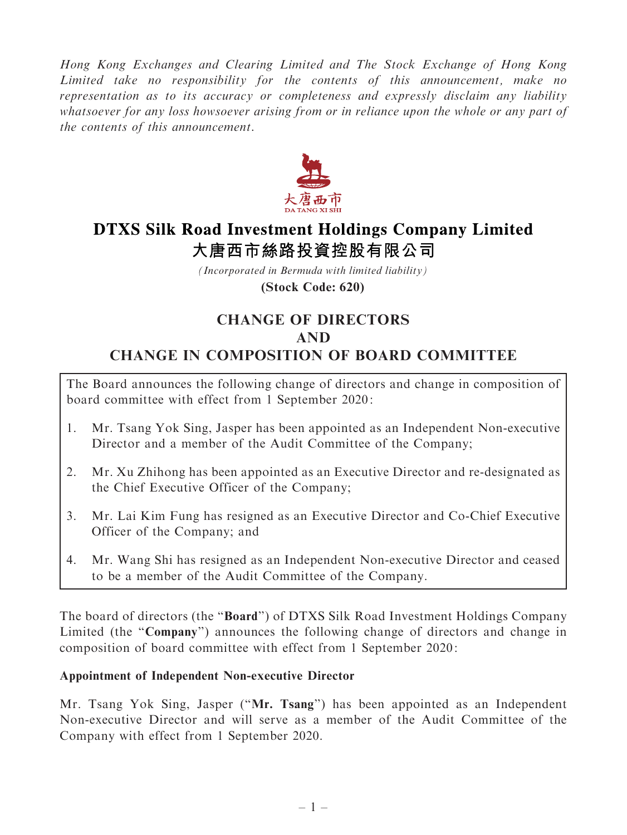Hong Kong Exchanges and Clearing Limited and The Stock Exchange of Hong Kong Limited take no responsibility for the contents of this announcement, make no representation as to its accuracy or completeness and expressly disclaim any liability whatsoever for any loss howsoever arising from or in reliance upon the whole or any part of the contents of this announcement.



# **DTXS Silk Road Investment Holdings Company Limited** 大唐西市絲路投資控股有限公司

*(Incorporated in Bermuda with limited liability)* **(Stock Code: 620)**

# CHANGE OF DIRECTORS AND CHANGE IN COMPOSITION OF BOARD COMMITTEE

The Board announces the following change of directors and change in composition of board committee with effect from 1 September 2020:

- 1. Mr. Tsang Yok Sing, Jasper has been appointed as an Independent Non-executive Director and a member of the Audit Committee of the Company;
- 2. Mr. Xu Zhihong has been appointed as an Executive Director and re-designated as the Chief Executive Officer of the Company;
- 3. Mr. Lai Kim Fung has resigned as an Executive Director and Co-Chief Executive Officer of the Company; and
- 4. Mr. Wang Shi has resigned as an Independent Non-executive Director and ceased to be a member of the Audit Committee of the Company.

The board of directors (the ''Board'') of DTXS Silk Road Investment Holdings Company Limited (the "Company") announces the following change of directors and change in composition of board committee with effect from 1 September 2020:

## Appointment of Independent Non-executive Director

Mr. Tsang Yok Sing, Jasper (''Mr. Tsang'') has been appointed as an Independent Non-executive Director and will serve as a member of the Audit Committee of the Company with effect from 1 September 2020.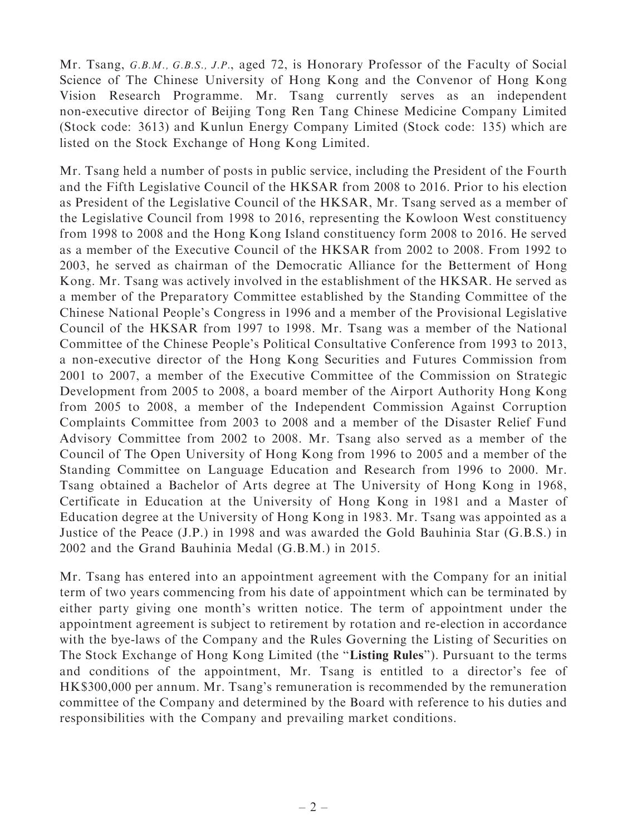Mr. Tsang, G.B.M., G.B.S., J.P., aged 72, is Honorary Professor of the Faculty of Social Science of The Chinese University of Hong Kong and the Convenor of Hong Kong Vision Research Programme. Mr. Tsang currently serves as an independent non-executive director of Beijing Tong Ren Tang Chinese Medicine Company Limited (Stock code: 3613) and Kunlun Energy Company Limited (Stock code: 135) which are listed on the Stock Exchange of Hong Kong Limited.

Mr. Tsang held a number of posts in public service, including the President of the Fourth and the Fifth Legislative Council of the HKSAR from 2008 to 2016. Prior to his election as President of the Legislative Council of the HKSAR, Mr. Tsang served as a member of the Legislative Council from 1998 to 2016, representing the Kowloon West constituency from 1998 to 2008 and the Hong Kong Island constituency form 2008 to 2016. He served as a member of the Executive Council of the HKSAR from 2002 to 2008. From 1992 to 2003, he served as chairman of the Democratic Alliance for the Betterment of Hong Kong. Mr. Tsang was actively involved in the establishment of the HKSAR. He served as a member of the Preparatory Committee established by the Standing Committee of the Chinese National People's Congress in 1996 and a member of the Provisional Legislative Council of the HKSAR from 1997 to 1998. Mr. Tsang was a member of the National Committee of the Chinese People's Political Consultative Conference from 1993 to 2013, a non-executive director of the Hong Kong Securities and Futures Commission from 2001 to 2007, a member of the Executive Committee of the Commission on Strategic Development from 2005 to 2008, a board member of the Airport Authority Hong Kong from 2005 to 2008, a member of the Independent Commission Against Corruption Complaints Committee from 2003 to 2008 and a member of the Disaster Relief Fund Advisory Committee from 2002 to 2008. Mr. Tsang also served as a member of the Council of The Open University of Hong Kong from 1996 to 2005 and a member of the Standing Committee on Language Education and Research from 1996 to 2000. Mr. Tsang obtained a Bachelor of Arts degree at The University of Hong Kong in 1968, Certificate in Education at the University of Hong Kong in 1981 and a Master of Education degree at the University of Hong Kong in 1983. Mr. Tsang was appointed as a Justice of the Peace (J.P.) in 1998 and was awarded the Gold Bauhinia Star (G.B.S.) in 2002 and the Grand Bauhinia Medal (G.B.M.) in 2015.

Mr. Tsang has entered into an appointment agreement with the Company for an initial term of two years commencing from his date of appointment which can be terminated by either party giving one month's written notice. The term of appointment under the appointment agreement is subject to retirement by rotation and re-election in accordance with the bye-laws of the Company and the Rules Governing the Listing of Securities on The Stock Exchange of Hong Kong Limited (the "Listing Rules"). Pursuant to the terms and conditions of the appointment, Mr. Tsang is entitled to a director's fee of HK\$300,000 per annum. Mr. Tsang's remuneration is recommended by the remuneration committee of the Company and determined by the Board with reference to his duties and responsibilities with the Company and prevailing market conditions.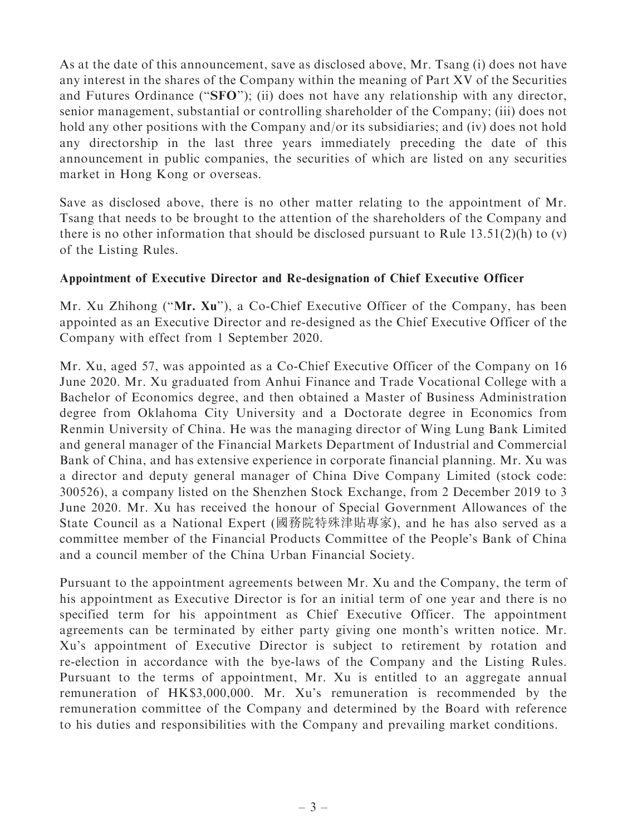As at the date of this announcement, save as disclosed above, Mr. Tsang (i) does not have any interest in the shares of the Company within the meaning of Part XV of the Securities and Futures Ordinance (''SFO''); (ii) does not have any relationship with any director, senior management, substantial or controlling shareholder of the Company; (iii) does not hold any other positions with the Company and/or its subsidiaries; and (iv) does not hold any directorship in the last three years immediately preceding the date of this announcement in public companies, the securities of which are listed on any securities market in Hong Kong or overseas.

Save as disclosed above, there is no other matter relating to the appointment of Mr. Tsang that needs to be brought to the attention of the shareholders of the Company and there is no other information that should be disclosed pursuant to Rule  $13.51(2)(h)$  to (v) of the Listing Rules.

### Appointment of Executive Director and Re-designation of Chief Executive Officer

Mr. Xu Zhihong (''Mr. Xu''), a Co-Chief Executive Officer of the Company, has been appointed as an Executive Director and re-designed as the Chief Executive Officer of the Company with effect from 1 September 2020.

Mr. Xu, aged 57, was appointed as a Co-Chief Executive Officer of the Company on 16 June 2020. Mr. Xu graduated from Anhui Finance and Trade Vocational College with a Bachelor of Economics degree, and then obtained a Master of Business Administration degree from Oklahoma City University and a Doctorate degree in Economics from Renmin University of China. He was the managing director of Wing Lung Bank Limited and general manager of the Financial Markets Department of Industrial and Commercial Bank of China, and has extensive experience in corporate financial planning. Mr. Xu was a director and deputy general manager of China Dive Company Limited (stock code: 300526), a company listed on the Shenzhen Stock Exchange, from 2 December 2019 to 3 June 2020. Mr. Xu has received the honour of Special Government Allowances of the State Council as a National Expert (國務院特殊津貼專家), and he has also served as a committee member of the Financial Products Committee of the People's Bank of China and a council member of the China Urban Financial Society.

Pursuant to the appointment agreements between Mr. Xu and the Company, the term of his appointment as Executive Director is for an initial term of one year and there is no specified term for his appointment as Chief Executive Officer. The appointment agreements can be terminated by either party giving one month's written notice. Mr. Xu's appointment of Executive Director is subject to retirement by rotation and re-election in accordance with the bye-laws of the Company and the Listing Rules. Pursuant to the terms of appointment, Mr. Xu is entitled to an aggregate annual remuneration of HK\$3,000,000. Mr. Xu's remuneration is recommended by the remuneration committee of the Company and determined by the Board with reference to his duties and responsibilities with the Company and prevailing market conditions.